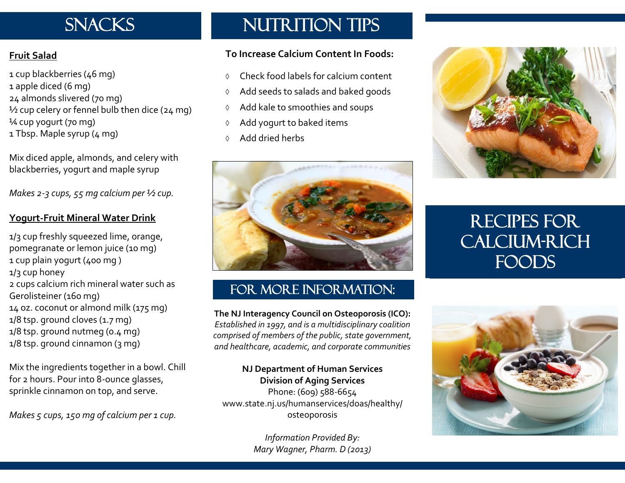# **SNACKS**

#### **Fruit Salad**

1 cup blackberries (46 mg) 1 apple diced (6 mg) 24 almonds slivered (70 mg) ½ cup celery or fennel bulb then dice (24 mg) ¼ cup yogurt (70 mg) 1 Tbsp. Maple syrup (4 mg)

Mix diced apple, almonds, and celery with blackberries, yogurt and maple syrup

*Makes 2-3 cups, 55 mg calcium per ½ cup.*

#### **Yogurt-Fruit Mineral Water Drink**

1/3 cup freshly squeezed lime, orange, pomegranate or lemon juice (10 mg) 1 cup plain yogurt (400 mg ) 1/3 cup honey 2 cups calcium rich mineral water such as Gerolisteiner (160 mg) 14 oz. coconut or almond milk (175 mg) 1/8 tsp. ground [cloves \(](http://www.drweil.com/drw/u/ART03466/Cooking-With-Spices-Cloves.html)1.7 mg) 1/8 tsp. ground [nutmeg](http://www.drweil.com/drw/u/ART03474/Cooking-With-Spices-Nutmeg.html) (0.4 mg) 1/8 tsp. ground [cinnamon \(](http://www.drweil.com/drw/u/ART03465/Cooking-With-Spices-Cinnamon.html)3 mg)

Mix the ingredients together in a bowl. Chill for 2 hours. Pour into 8-ounce glasses, sprinkle cinnamon on top, and serve.

*Makes 5 cups, 150 mg of calcium per 1 cup.*

### NUTRITION TIPS

#### **To Increase Calcium Content In Foods:**

- Check food labels for calcium content
- Add seeds to salads and baked goods
- $\Diamond$  Add kale to smoothies and soups
- Add yogurt to baked items
- Add dried herbs



### FOR MORE INFORMATION:

**The NJ Interagency Council on Osteoporosis (ICO):** *Established in 1997, and is a multidisciplinary coalition comprised of members of the public, state government, and healthcare, academic, and corporate communities* 

**NJ Department of Human Services Division of Aging Services** Phone: (609) 588-6654 www.state.nj.us/humanservices/doas/healthy/ osteoporosis

> *Information Provided By: Mary Wagner, Pharm. D (2013)*



## RECIPES FOR CALCIUM-RICH FOODS